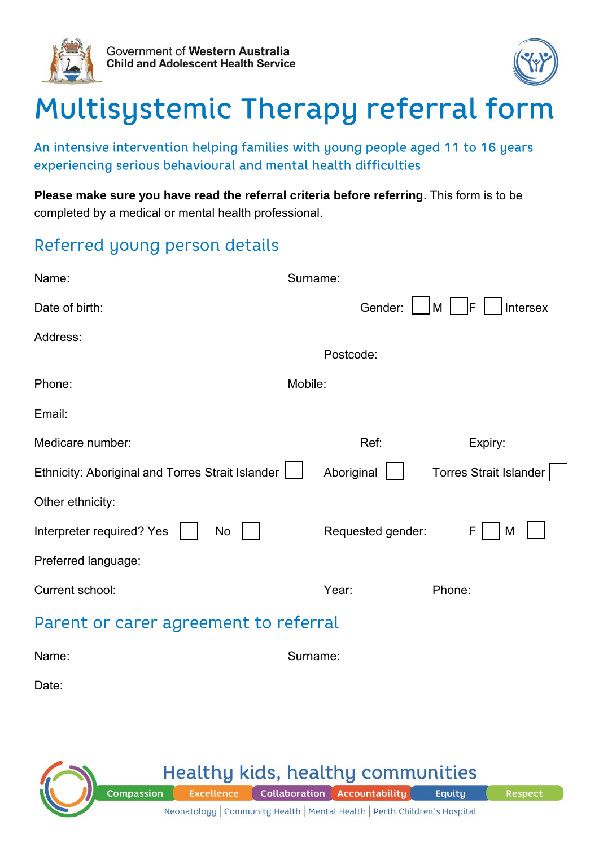



# Multisystemic Therapy referral form

An intensive intervention helping families with young people aged 11 to 16 years experiencing serious behavioural and mental health difficulties

**Please make sure you have read the referral criteria before referring**. This form is to be completed by a medical or mental health professional.

## Referred young person details

| Name:                                            | Surname:                                    |
|--------------------------------------------------|---------------------------------------------|
| Date of birth:                                   | Gender:<br>IF<br>M<br>Intersex              |
| Address:                                         | Postcode:                                   |
| Phone:                                           | Mobile:                                     |
| Email:                                           |                                             |
| Medicare number:                                 | Ref:<br>Expiry:                             |
| Ethnicity: Aboriginal and Torres Strait Islander | <b>Torres Strait Islander</b><br>Aboriginal |
| Other ethnicity:                                 |                                             |
| Interpreter required? Yes<br>No                  | Requested gender:<br>F<br>M                 |
| Preferred language:                              |                                             |
| Current school:                                  | Year:<br>Phone:                             |
| Parent or carer agreement to referral            |                                             |
| Name:                                            | Surname:                                    |
| Date:                                            |                                             |

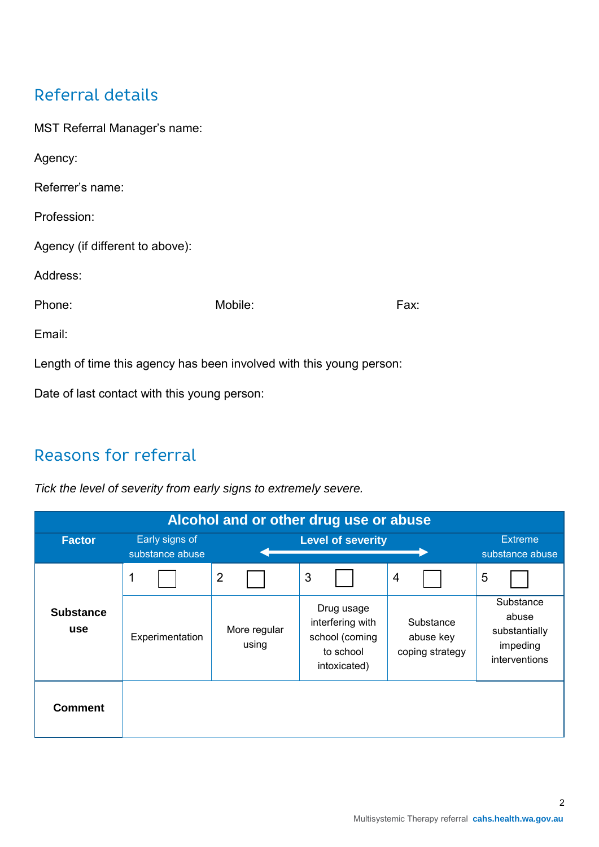## Referral details

| <b>MST Referral Manager's name:</b>                                  |         |      |  |  |  |
|----------------------------------------------------------------------|---------|------|--|--|--|
| Agency:                                                              |         |      |  |  |  |
| Referrer's name:                                                     |         |      |  |  |  |
| Profession:                                                          |         |      |  |  |  |
| Agency (if different to above):                                      |         |      |  |  |  |
| Address:                                                             |         |      |  |  |  |
| Phone:                                                               | Mobile: | Fax: |  |  |  |
| Email:                                                               |         |      |  |  |  |
| Length of time this agency has been involved with this young person: |         |      |  |  |  |
| Date of last contact with this young person:                         |         |      |  |  |  |

## Reasons for referral

*Tick the level of severity from early signs to extremely severe.*

| Alcohol and or other drug use or abuse |                                   |                       |                                                                               |                                           |                                                                  |  |
|----------------------------------------|-----------------------------------|-----------------------|-------------------------------------------------------------------------------|-------------------------------------------|------------------------------------------------------------------|--|
| <b>Factor</b>                          | Early signs of<br>substance abuse |                       | <b>Level of severity</b>                                                      |                                           | <b>Extreme</b><br>substance abuse                                |  |
|                                        | 1                                 | $\overline{2}$        | 3                                                                             | $\overline{4}$                            | 5                                                                |  |
| <b>Substance</b><br>use                | Experimentation                   | More regular<br>using | Drug usage<br>interfering with<br>school (coming<br>to school<br>intoxicated) | Substance<br>abuse key<br>coping strategy | Substance<br>abuse<br>substantially<br>impeding<br>interventions |  |
| <b>Comment</b>                         |                                   |                       |                                                                               |                                           |                                                                  |  |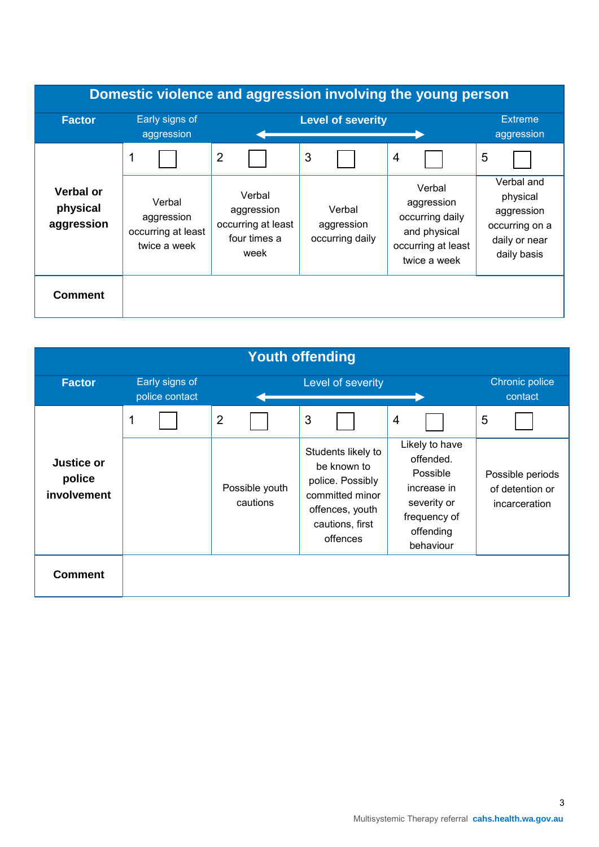| Domestic violence and aggression involving the young person |                                                            |                                                                    |                                         |                                                                                               |                                                                                        |
|-------------------------------------------------------------|------------------------------------------------------------|--------------------------------------------------------------------|-----------------------------------------|-----------------------------------------------------------------------------------------------|----------------------------------------------------------------------------------------|
| <b>Factor</b>                                               | Early signs of<br>aggression                               | <b>Level of severity</b>                                           |                                         |                                                                                               | <b>Extreme</b><br>aggression                                                           |
|                                                             | 1                                                          | $\overline{2}$                                                     | 3                                       | $\overline{4}$                                                                                | 5                                                                                      |
| <b>Verbal or</b><br>physical<br>aggression                  | Verbal<br>aggression<br>occurring at least<br>twice a week | Verbal<br>aggression<br>occurring at least<br>four times a<br>week | Verbal<br>aggression<br>occurring daily | Verbal<br>aggression<br>occurring daily<br>and physical<br>occurring at least<br>twice a week | Verbal and<br>physical<br>aggression<br>occurring on a<br>daily or near<br>daily basis |
| <b>Comment</b>                                              |                                                            |                                                                    |                                         |                                                                                               |                                                                                        |

| <b>Youth offending</b>              |                                  |                            |                                                                                                                            |                                                                                                                 |                                                      |  |
|-------------------------------------|----------------------------------|----------------------------|----------------------------------------------------------------------------------------------------------------------------|-----------------------------------------------------------------------------------------------------------------|------------------------------------------------------|--|
| <b>Factor</b>                       | Early signs of<br>police contact |                            | Level of severity                                                                                                          |                                                                                                                 | Chronic police<br>contact                            |  |
|                                     | 1                                | $\overline{2}$             | 3                                                                                                                          | $\overline{4}$                                                                                                  | 5                                                    |  |
| Justice or<br>police<br>involvement |                                  | Possible youth<br>cautions | Students likely to<br>be known to<br>police. Possibly<br>committed minor<br>offences, youth<br>cautions, first<br>offences | Likely to have<br>offended.<br>Possible<br>increase in<br>severity or<br>frequency of<br>offending<br>behaviour | Possible periods<br>of detention or<br>incarceration |  |
| <b>Comment</b>                      |                                  |                            |                                                                                                                            |                                                                                                                 |                                                      |  |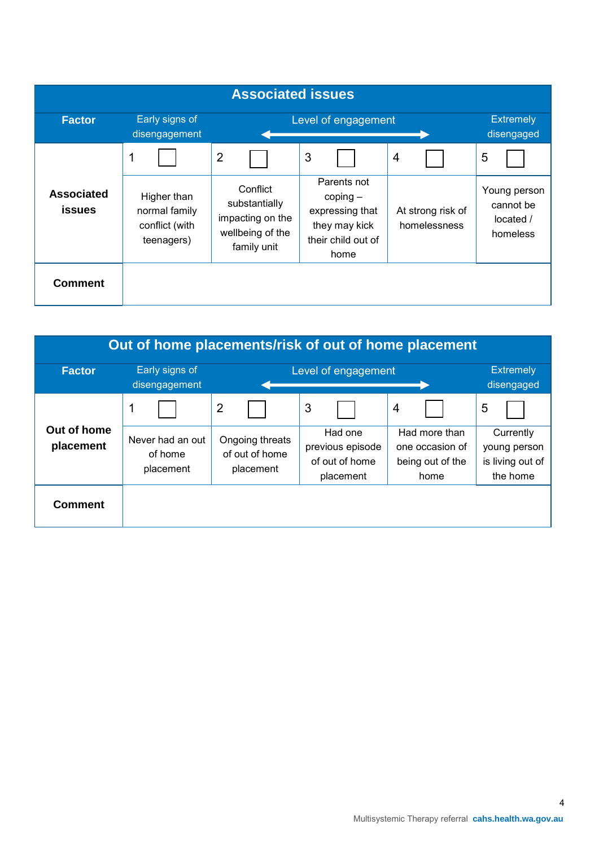| <b>Associated issues</b>           |                                                              |                                                                                  |                                                                                             |                                   |                                                    |
|------------------------------------|--------------------------------------------------------------|----------------------------------------------------------------------------------|---------------------------------------------------------------------------------------------|-----------------------------------|----------------------------------------------------|
| <b>Factor</b>                      | Early signs of<br>disengagement                              | Level of engagement                                                              |                                                                                             |                                   | <b>Extremely</b><br>disengaged                     |
|                                    |                                                              | $\overline{2}$                                                                   | 3                                                                                           | $\overline{4}$                    | 5                                                  |
| <b>Associated</b><br><b>issues</b> | Higher than<br>normal family<br>conflict (with<br>teenagers) | Conflict<br>substantially<br>impacting on the<br>wellbeing of the<br>family unit | Parents not<br>$coping -$<br>expressing that<br>they may kick<br>their child out of<br>home | At strong risk of<br>homelessness | Young person<br>cannot be<br>located /<br>homeless |
| <b>Comment</b>                     |                                                              |                                                                                  |                                                                                             |                                   |                                                    |

| Out of home placements/risk of out of home placement |                                          |                                                |                                                            |                                                              |                                                           |  |
|------------------------------------------------------|------------------------------------------|------------------------------------------------|------------------------------------------------------------|--------------------------------------------------------------|-----------------------------------------------------------|--|
| <b>Factor</b>                                        | Early signs of<br>disengagement          | Level of engagement                            |                                                            |                                                              | <b>Extremely</b><br>disengaged                            |  |
|                                                      | 1                                        | $\overline{2}$                                 | 3                                                          | 4                                                            | 5                                                         |  |
| Out of home<br>placement                             | Never had an out<br>of home<br>placement | Ongoing threats<br>of out of home<br>placement | Had one<br>previous episode<br>of out of home<br>placement | Had more than<br>one occasion of<br>being out of the<br>home | Currently<br>young person<br>is living out of<br>the home |  |
| <b>Comment</b>                                       |                                          |                                                |                                                            |                                                              |                                                           |  |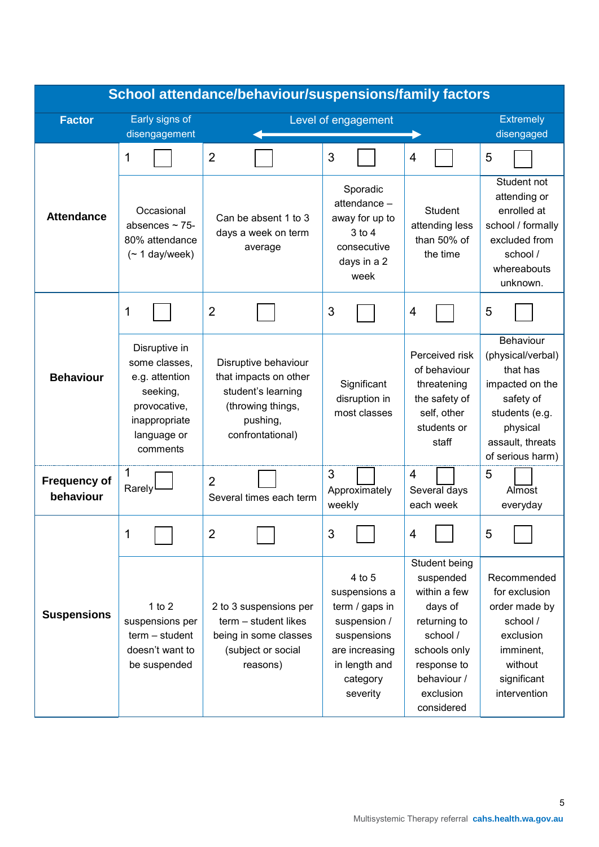| School attendance/behaviour/suspensions/family factors |                                                                                                                          |                                                                                                                          |                                                                                                                                     |                                                                                                                                                            |                                                                                                                                                  |
|--------------------------------------------------------|--------------------------------------------------------------------------------------------------------------------------|--------------------------------------------------------------------------------------------------------------------------|-------------------------------------------------------------------------------------------------------------------------------------|------------------------------------------------------------------------------------------------------------------------------------------------------------|--------------------------------------------------------------------------------------------------------------------------------------------------|
| <b>Factor</b>                                          | Early signs of                                                                                                           |                                                                                                                          | Level of engagement                                                                                                                 |                                                                                                                                                            | <b>Extremely</b>                                                                                                                                 |
|                                                        | disengagement                                                                                                            |                                                                                                                          |                                                                                                                                     |                                                                                                                                                            | disengaged                                                                                                                                       |
|                                                        | 1                                                                                                                        | $\overline{2}$                                                                                                           | 3                                                                                                                                   | $\overline{4}$                                                                                                                                             | 5                                                                                                                                                |
| <b>Attendance</b>                                      | Occasional<br>absences $\sim$ 75-<br>80% attendance<br>$($ ~ 1 day/week)                                                 | Can be absent 1 to 3<br>days a week on term<br>average                                                                   | Sporadic<br>attendance -<br>away for up to<br>$3$ to $4$<br>consecutive<br>days in a 2<br>week                                      | <b>Student</b><br>attending less<br>than 50% of<br>the time                                                                                                | Student not<br>attending or<br>enrolled at<br>school / formally<br>excluded from<br>school /<br>whereabouts<br>unknown.                          |
|                                                        | 1                                                                                                                        | $\overline{2}$                                                                                                           | 3                                                                                                                                   | 4                                                                                                                                                          | 5                                                                                                                                                |
| <b>Behaviour</b>                                       | Disruptive in<br>some classes,<br>e.g. attention<br>seeking,<br>provocative,<br>inappropriate<br>language or<br>comments | Disruptive behaviour<br>that impacts on other<br>student's learning<br>(throwing things,<br>pushing,<br>confrontational) | Significant<br>disruption in<br>most classes                                                                                        | Perceived risk<br>of behaviour<br>threatening<br>the safety of<br>self, other<br>students or<br>staff                                                      | Behaviour<br>(physical/verbal)<br>that has<br>impacted on the<br>safety of<br>students (e.g.<br>physical<br>assault, threats<br>of serious harm) |
| <b>Frequency of</b><br>behaviour                       | 1<br>Rarely                                                                                                              | $\overline{2}$<br>Several times each term                                                                                | 3<br>Approximately<br>weekly                                                                                                        | $\overline{4}$<br>Several days<br>each week                                                                                                                | 5<br>Almost<br>everyday                                                                                                                          |
|                                                        | Τ                                                                                                                        | 2                                                                                                                        | 3                                                                                                                                   | 4                                                                                                                                                          | 5                                                                                                                                                |
| <b>Suspensions</b>                                     | 1 to $2$<br>suspensions per<br>$term - student$<br>doesn't want to<br>be suspended                                       | 2 to 3 suspensions per<br>term - student likes<br>being in some classes<br>(subject or social<br>reasons)                | 4 to 5<br>suspensions a<br>term / gaps in<br>suspension /<br>suspensions<br>are increasing<br>in length and<br>category<br>severity | Student being<br>suspended<br>within a few<br>days of<br>returning to<br>school /<br>schools only<br>response to<br>behaviour /<br>exclusion<br>considered | Recommended<br>for exclusion<br>order made by<br>school /<br>exclusion<br>imminent,<br>without<br>significant<br>intervention                    |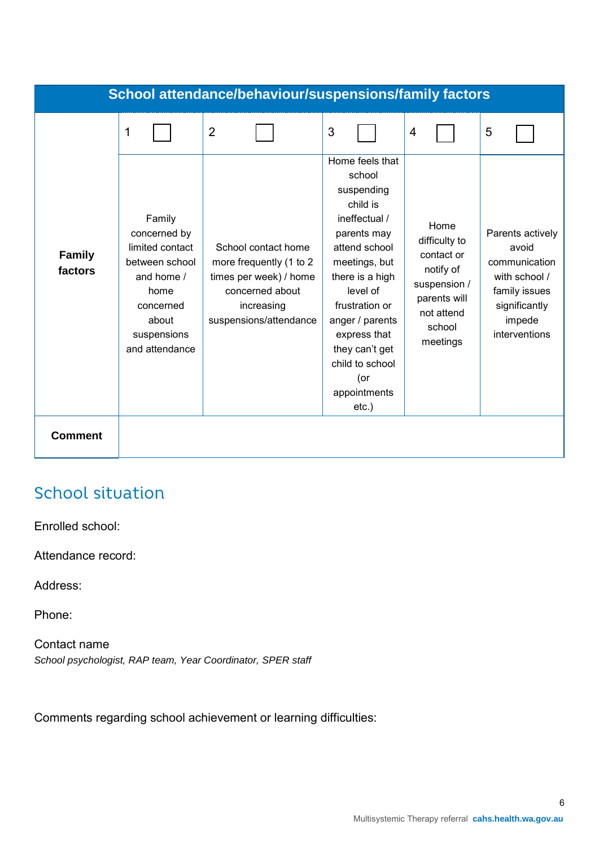|                          |                                                                                                                                          | <b>School attendance/behaviour/suspensions/family factors</b>                                                                       |                                                                                                                                                                                                                                                                                   |                                                                                                                      |                                                                                                                          |
|--------------------------|------------------------------------------------------------------------------------------------------------------------------------------|-------------------------------------------------------------------------------------------------------------------------------------|-----------------------------------------------------------------------------------------------------------------------------------------------------------------------------------------------------------------------------------------------------------------------------------|----------------------------------------------------------------------------------------------------------------------|--------------------------------------------------------------------------------------------------------------------------|
|                          | 1                                                                                                                                        | $\overline{2}$                                                                                                                      | 3                                                                                                                                                                                                                                                                                 | $\overline{4}$                                                                                                       | 5                                                                                                                        |
| <b>Family</b><br>factors | Family<br>concerned by<br>limited contact<br>between school<br>and home /<br>home<br>concerned<br>about<br>suspensions<br>and attendance | School contact home<br>more frequently (1 to 2<br>times per week) / home<br>concerned about<br>increasing<br>suspensions/attendance | Home feels that<br>school<br>suspending<br>child is<br>ineffectual /<br>parents may<br>attend school<br>meetings, but<br>there is a high<br>level of<br>frustration or<br>anger / parents<br>express that<br>they can't get<br>child to school<br>(or<br>appointments<br>$etc.$ ) | Home<br>difficulty to<br>contact or<br>notify of<br>suspension /<br>parents will<br>not attend<br>school<br>meetings | Parents actively<br>avoid<br>communication<br>with school /<br>family issues<br>significantly<br>impede<br>interventions |
| <b>Comment</b>           |                                                                                                                                          |                                                                                                                                     |                                                                                                                                                                                                                                                                                   |                                                                                                                      |                                                                                                                          |

## **School situation**

Enrolled school:

Attendance record:

Address:

Phone:

Contact name *School psychologist, RAP team, Year Coordinator, SPER staff*

Comments regarding school achievement or learning difficulties: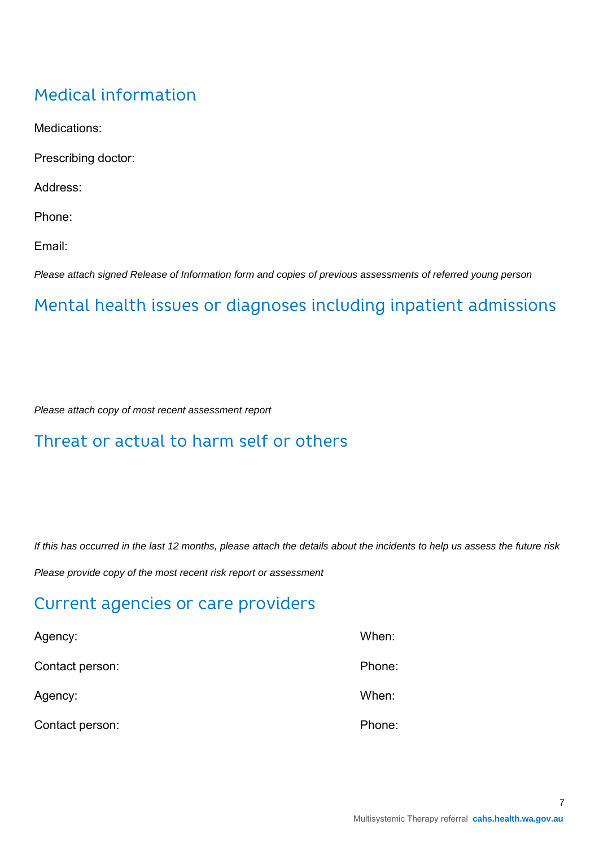## **Medical information**

Medications:

Prescribing doctor:

Address:

Phone:

Email:

*Please attach signed Release of Information form and copies of previous assessments of referred young person*

## Mental health issues or diagnoses including inpatient admissions

*Please attach copy of most recent assessment report*

## Threat or actual to harm self or others

*If this has occurred in the last 12 months, please attach the details about the incidents to help us assess the future risk*

*Please provide copy of the most recent risk report or assessment*

## Current agencies or care providers

| Agency:         | When:  |
|-----------------|--------|
| Contact person: | Phone: |
| Agency:         | When:  |
| Contact person: | Phone: |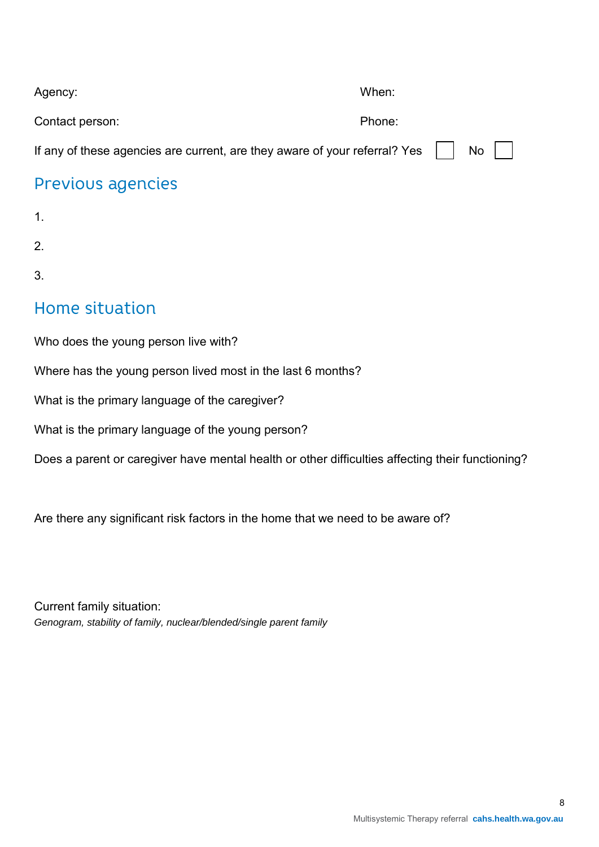| Agency:                                                                                | When:  |              |  |
|----------------------------------------------------------------------------------------|--------|--------------|--|
| Contact person:                                                                        | Phone: |              |  |
| If any of these agencies are current, are they aware of your referral? Yes $\ \cdot\ $ |        | . No $\vert$ |  |

### Previous agencies

1.

2.

3.

## Home situation

Who does the young person live with?

Where has the young person lived most in the last 6 months?

What is the primary language of the caregiver?

What is the primary language of the young person?

Does a parent or caregiver have mental health or other difficulties affecting their functioning?

Are there any significant risk factors in the home that we need to be aware of?

Current family situation: *Genogram, stability of family, nuclear/blended/single parent family*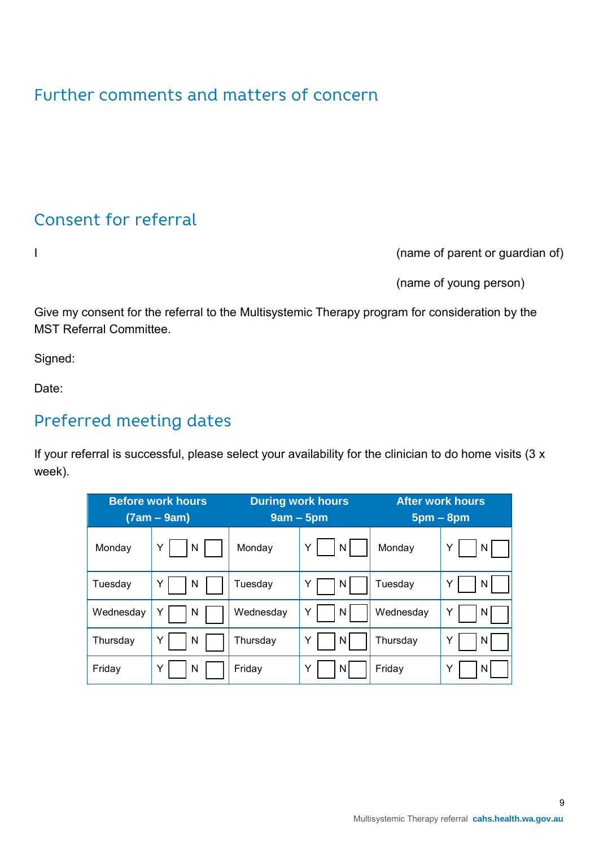## Further comments and matters of concern

## Consent for referral

I (name of parent or guardian of)

(name of young person)

Give my consent for the referral to the Multisystemic Therapy program for consideration by the MST Referral Committee.

Signed:

Date:

## Preferred meeting dates

If your referral is successful, please select your availability for the clinician to do home visits (3 x week).

| <b>Before work hours</b><br>$(7am - 9am)$ |        | <b>During work hours</b><br>$9am - 5pm$ |         | <b>After work hours</b><br>$5pm - 8pm$ |         |
|-------------------------------------------|--------|-----------------------------------------|---------|----------------------------------------|---------|
| Monday                                    | Y<br>N | Monday                                  | N<br>Y  | Monday                                 | Y<br>N. |
| Tuesday                                   | N<br>Y | Tuesday                                 | N.      | Tuesday                                | Y<br>N  |
| Wednesday                                 | N      | Wednesday                               | N       | Wednesday                              | Y<br>N. |
| Thursday                                  | N<br>Y | Thursday                                | Υ<br>N  | Thursday                               | Y<br>N. |
| Friday                                    | N<br>Y | Friday                                  | ΝI<br>Y | Friday                                 | Y<br>N  |